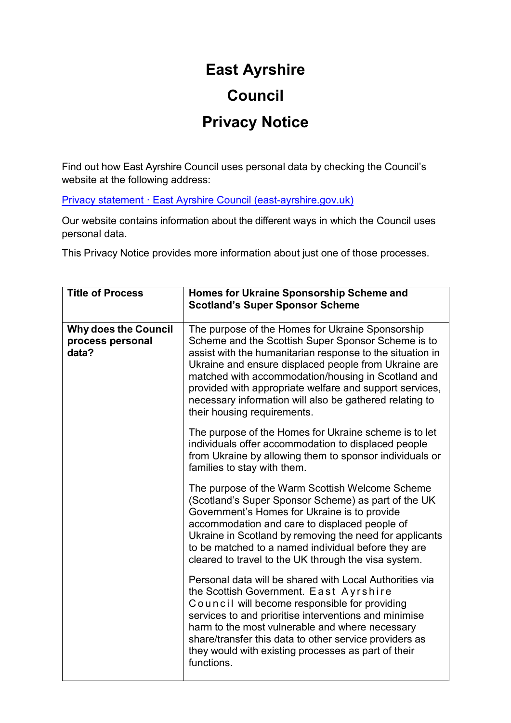## **East Ayrshire Council**

## **Privacy Notice**

Find out how East Ayrshire Council uses personal data by checking the Council's website at the following address:

[Privacy statement · East Ayrshire Council \(east-ayrshire.gov.uk\)](https://www.east-ayrshire.gov.uk/CouncilAndGovernment/About-the-Council/Information-and-statistics/Privacy-Statement.aspx)

Our website contains information about the different ways in which the Council uses personal data.

This Privacy Notice provides more information about just one of those processes.

| <b>Title of Process</b>                                  | <b>Homes for Ukraine Sponsorship Scheme and</b><br><b>Scotland's Super Sponsor Scheme</b>                                                                                                                                                                                                                                                                                                                                              |
|----------------------------------------------------------|----------------------------------------------------------------------------------------------------------------------------------------------------------------------------------------------------------------------------------------------------------------------------------------------------------------------------------------------------------------------------------------------------------------------------------------|
| <b>Why does the Council</b><br>process personal<br>data? | The purpose of the Homes for Ukraine Sponsorship<br>Scheme and the Scottish Super Sponsor Scheme is to<br>assist with the humanitarian response to the situation in<br>Ukraine and ensure displaced people from Ukraine are<br>matched with accommodation/housing in Scotland and<br>provided with appropriate welfare and support services,<br>necessary information will also be gathered relating to<br>their housing requirements. |
|                                                          | The purpose of the Homes for Ukraine scheme is to let<br>individuals offer accommodation to displaced people<br>from Ukraine by allowing them to sponsor individuals or<br>families to stay with them.                                                                                                                                                                                                                                 |
|                                                          | The purpose of the Warm Scottish Welcome Scheme<br>(Scotland's Super Sponsor Scheme) as part of the UK<br>Government's Homes for Ukraine is to provide<br>accommodation and care to displaced people of<br>Ukraine in Scotland by removing the need for applicants<br>to be matched to a named individual before they are<br>cleared to travel to the UK through the visa system.                                                      |
|                                                          | Personal data will be shared with Local Authorities via<br>the Scottish Government. East Ayrshire<br>Council will become responsible for providing<br>services to and prioritise interventions and minimise<br>harm to the most vulnerable and where necessary<br>share/transfer this data to other service providers as<br>they would with existing processes as part of their<br>functions.                                          |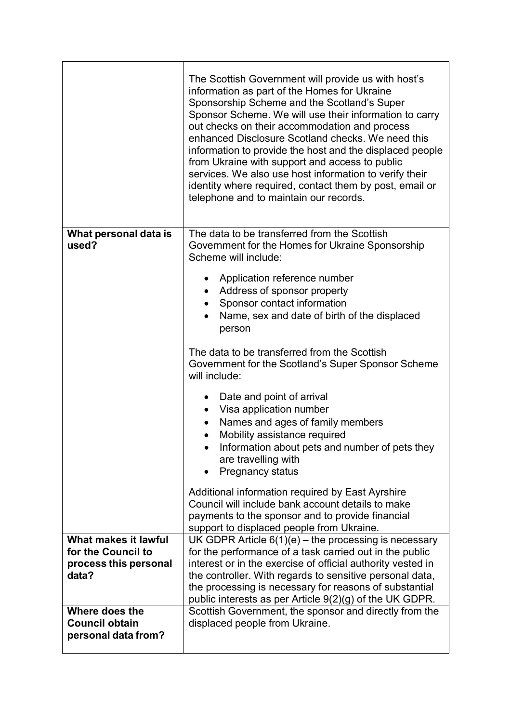|                                | The Scottish Government will provide us with host's<br>information as part of the Homes for Ukraine<br>Sponsorship Scheme and the Scotland's Super<br>Sponsor Scheme. We will use their information to carry<br>out checks on their accommodation and process<br>enhanced Disclosure Scotland checks. We need this<br>information to provide the host and the displaced people<br>from Ukraine with support and access to public<br>services. We also use host information to verify their<br>identity where required, contact them by post, email or<br>telephone and to maintain our records. |
|--------------------------------|-------------------------------------------------------------------------------------------------------------------------------------------------------------------------------------------------------------------------------------------------------------------------------------------------------------------------------------------------------------------------------------------------------------------------------------------------------------------------------------------------------------------------------------------------------------------------------------------------|
| What personal data is<br>used? | The data to be transferred from the Scottish<br>Government for the Homes for Ukraine Sponsorship<br>Scheme will include:<br>Application reference number<br>$\bullet$                                                                                                                                                                                                                                                                                                                                                                                                                           |
|                                | Address of sponsor property<br>$\bullet$                                                                                                                                                                                                                                                                                                                                                                                                                                                                                                                                                        |
|                                | Sponsor contact information                                                                                                                                                                                                                                                                                                                                                                                                                                                                                                                                                                     |
|                                | Name, sex and date of birth of the displaced<br>person                                                                                                                                                                                                                                                                                                                                                                                                                                                                                                                                          |
|                                | The data to be transferred from the Scottish<br>Government for the Scotland's Super Sponsor Scheme<br>will include:                                                                                                                                                                                                                                                                                                                                                                                                                                                                             |
|                                | Date and point of arrival<br>$\bullet$                                                                                                                                                                                                                                                                                                                                                                                                                                                                                                                                                          |
|                                | Visa application number                                                                                                                                                                                                                                                                                                                                                                                                                                                                                                                                                                         |
|                                | Names and ages of family members<br>$\bullet$                                                                                                                                                                                                                                                                                                                                                                                                                                                                                                                                                   |
|                                | Mobility assistance required                                                                                                                                                                                                                                                                                                                                                                                                                                                                                                                                                                    |
|                                | Information about pets and number of pets they<br>are travelling with<br><b>Pregnancy status</b>                                                                                                                                                                                                                                                                                                                                                                                                                                                                                                |
|                                | Additional information required by East Ayrshire                                                                                                                                                                                                                                                                                                                                                                                                                                                                                                                                                |
|                                | Council will include bank account details to make                                                                                                                                                                                                                                                                                                                                                                                                                                                                                                                                               |
|                                | payments to the sponsor and to provide financial<br>support to displaced people from Ukraine.                                                                                                                                                                                                                                                                                                                                                                                                                                                                                                   |
| What makes it lawful           | UK GDPR Article $6(1)(e)$ – the processing is necessary                                                                                                                                                                                                                                                                                                                                                                                                                                                                                                                                         |
| for the Council to             | for the performance of a task carried out in the public                                                                                                                                                                                                                                                                                                                                                                                                                                                                                                                                         |
| process this personal          | interest or in the exercise of official authority vested in                                                                                                                                                                                                                                                                                                                                                                                                                                                                                                                                     |
| data?                          | the controller. With regards to sensitive personal data,                                                                                                                                                                                                                                                                                                                                                                                                                                                                                                                                        |
|                                | the processing is necessary for reasons of substantial<br>public interests as per Article $9(2)(g)$ of the UK GDPR.                                                                                                                                                                                                                                                                                                                                                                                                                                                                             |
| Where does the                 | Scottish Government, the sponsor and directly from the                                                                                                                                                                                                                                                                                                                                                                                                                                                                                                                                          |
| <b>Council obtain</b>          | displaced people from Ukraine.                                                                                                                                                                                                                                                                                                                                                                                                                                                                                                                                                                  |
| personal data from?            |                                                                                                                                                                                                                                                                                                                                                                                                                                                                                                                                                                                                 |
|                                |                                                                                                                                                                                                                                                                                                                                                                                                                                                                                                                                                                                                 |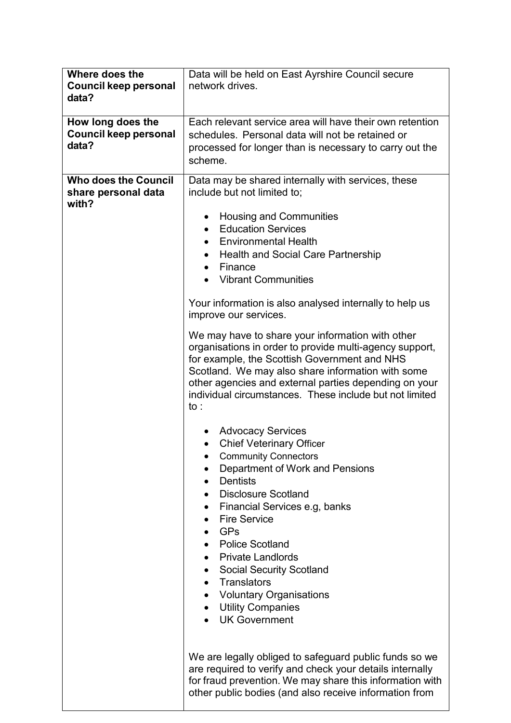| Where does the<br><b>Council keep personal</b><br>data?     | Data will be held on East Ayrshire Council secure<br>network drives.                                                                                                                                                                                                                                                                                                                                                                                                         |
|-------------------------------------------------------------|------------------------------------------------------------------------------------------------------------------------------------------------------------------------------------------------------------------------------------------------------------------------------------------------------------------------------------------------------------------------------------------------------------------------------------------------------------------------------|
| How long does the<br>Council keep personal<br>data?         | Each relevant service area will have their own retention<br>schedules. Personal data will not be retained or<br>processed for longer than is necessary to carry out the<br>scheme.                                                                                                                                                                                                                                                                                           |
| <b>Who does the Council</b><br>share personal data<br>with? | Data may be shared internally with services, these<br>include but not limited to;<br><b>Housing and Communities</b><br>$\bullet$<br><b>Education Services</b><br>$\bullet$<br><b>Environmental Health</b><br><b>Health and Social Care Partnership</b><br>$\bullet$<br>Finance<br>$\bullet$<br><b>Vibrant Communities</b>                                                                                                                                                    |
|                                                             | Your information is also analysed internally to help us<br>improve our services.<br>We may have to share your information with other<br>organisations in order to provide multi-agency support,<br>for example, the Scottish Government and NHS<br>Scotland. We may also share information with some<br>other agencies and external parties depending on your<br>individual circumstances. These include but not limited<br>to:                                              |
|                                                             | <b>Advocacy Services</b><br><b>Chief Veterinary Officer</b><br><b>Community Connectors</b><br>Department of Work and Pensions<br><b>Dentists</b><br><b>Disclosure Scotland</b><br>Financial Services e.g, banks<br>$\bullet$<br><b>Fire Service</b><br><b>GPs</b><br><b>Police Scotland</b><br><b>Private Landlords</b><br><b>Social Security Scotland</b><br>$\bullet$<br>Translators<br><b>Voluntary Organisations</b><br><b>Utility Companies</b><br><b>UK Government</b> |
|                                                             | We are legally obliged to safeguard public funds so we<br>are required to verify and check your details internally<br>for fraud prevention. We may share this information with<br>other public bodies (and also receive information from                                                                                                                                                                                                                                     |